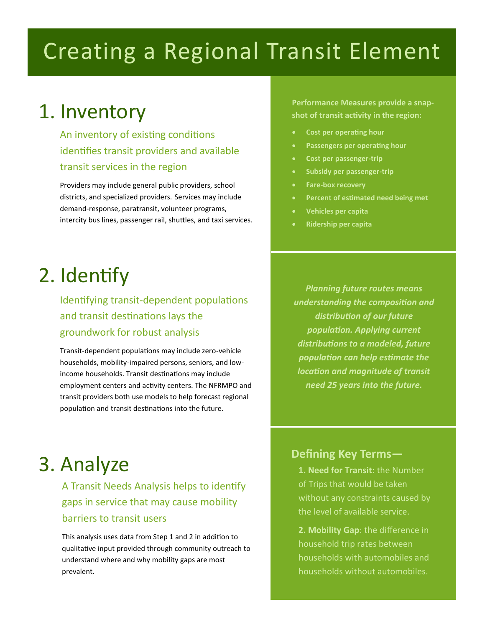# Creating a Regional Transit Element

### 1. Inventory

An inventory of existing conditions identifies transit providers and available transit services in the region

Providers may include general public providers, school districts, and specialized providers. Services may include demand-response, paratransit, volunteer programs, intercity bus lines, passenger rail, shuttles, and taxi services.

**Performance Measures provide a snapshot of transit activity in the region:**

- **Cost per operating hour**
- **Passengers per operating hour**
- **Cost per passenger-trip**
- **Subsidy per passenger-trip**
- **Fare-box recovery**
- **Percent of estimated need being met**
- **Vehicles per capita**
- **Ridership per capita**

# 2. Identify

Identifying transit-dependent populations and transit destinations lays the groundwork for robust analysis

Transit-dependent populations may include zero-vehicle households, mobility-impaired persons, seniors, and lowincome households. Transit destinations may include employment centers and activity centers. The NFRMPO and transit providers both use models to help forecast regional population and transit destinations into the future.

*Planning future routes means understanding the composition and distribution of our future population. Applying current distributions to a modeled, future population can help estimate the location and magnitude of transit need 25 years into the future.* 

# 3. Analyze

A Transit Needs Analysis helps to identify gaps in service that may cause mobility barriers to transit users

This analysis uses data from Step 1 and 2 in addition to qualitative input provided through community outreach to understand where and why mobility gaps are most prevalent.

#### **Defining Key Terms—**

**1. Need for Transit: the Number** of Trips that would be taken without any constraints caused by the level of available service.

**2. Mobility Gap**: the difference in household trip rates between households with automobiles and households without automobiles.